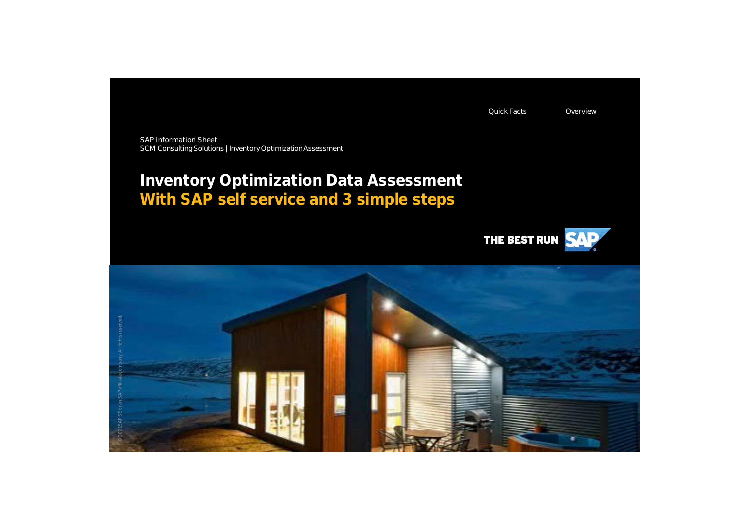Quick Facts Overview

SAP Information Sheet SCM Consulting Solutions | Inventory Optimization Assessment

# **Inventory Optimization Data Assessment With SAP self service and 3 simple steps**



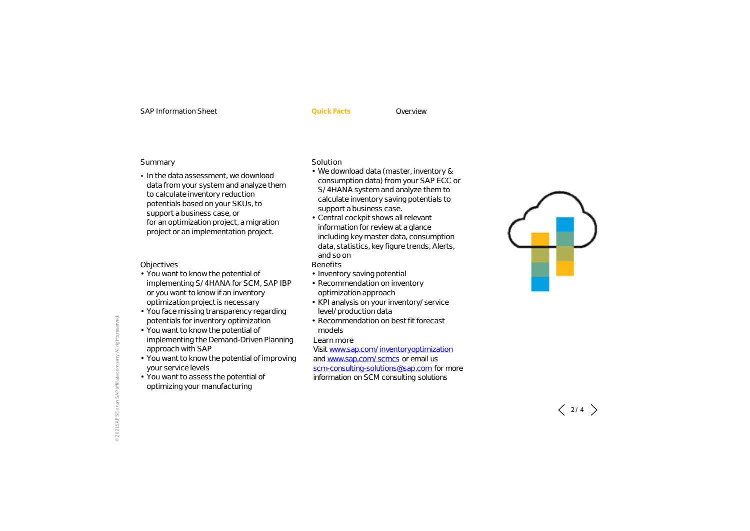#### SAP Information Sheet **Quick Facts** Overview

#### Summary

• In the data assessment, we download data from your system and analyze them to calculate inventory reduction potentials based on your SKUs, to support a business case, or for an optimization project, a migration project or an implementation project.

### Objectives

- You want to know the potential of implementing S/4HANA for SCM, SAP IBP or you want to know if an inventory optimization project is necessary
- You face missing transparency regarding potentials for inventory optimization
- You want to know the potential of
- implementing the Demand-Driven Planning approach with SAP
- You want to know the potential of improving your service levels
- You want to assess the potential of optimizing your manufacturing

### **Solution**

- We download data (master, inventory & consumption data) from your SAP ECC or S/4HANA system and analyze them to calculate inventory saving potentials to support a business case.
- Central cockpit shows all relevant information for review at a glance including key master data, consumption data, statistics, key figure trends, Alerts, and so on
- Benefits
- Inventory saving potential
- Recommendation on inventory optimization approach
- KPI analysis on your inventory/service level/production data
- Recommendation on best fit forecast models

Learn more

Visit www.sap.com/inventoryoptimization and www.sap.com/scmcs or email us scm-consulting-solutions@sap.com for more information on SCM consulting solutions



© 2021 SAP SE or an SAP affiliate company. All rights reserved. 2021

 $\langle$  2/4  $\rangle$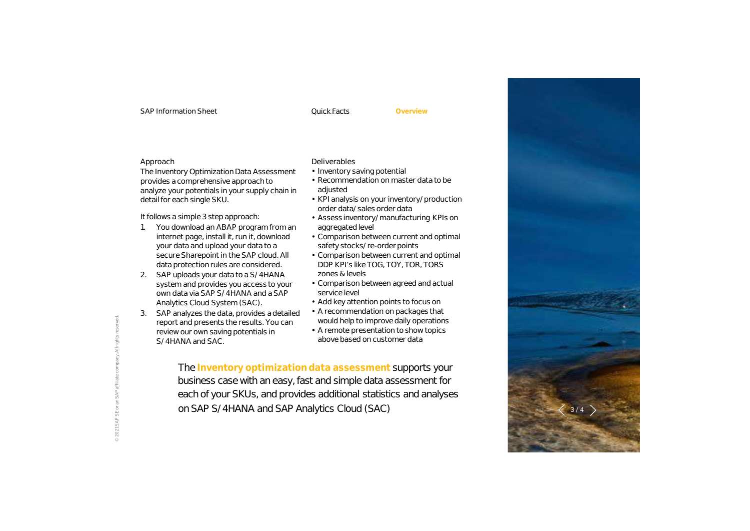#### SAP Information Sheet Cuick Facts

**Overview**

#### Approach

© 2021 SAP SE or an SAP affiliate company. All rights reserved.

The Inventory Optimization Data Assessment provides a comprehensive approach to analyze your potentials in your supply chain in detail for each single SKU.

It follows a simple 3 step approach:

- 1. You download an ABAP program from an internet page, install it, run it, download your data and upload your data to a secure Sharepoint in the SAP cloud. All data protection rules are considered.
- 2. SAP uploads your data to a S/4HANA system and provides you access to your own data via SAP S/4HANA and a SAP Analytics Cloud System (SAC).
- 3. SAP analyzes the data, provides a detailed report and presents the results. You can review our own saving potentials in S/4HANA and SAC.

## Deliverables

- Inventory saving potential
- Recommendation on master data to be adjusted
- KPI analysis on your inventory/production order data/sales order data
- Assess inventory/manufacturing KPIs on aggregated level
- Comparison between current and optimal safety stocks/re-order points
- Comparison between current and optimal DDP KPI's like TOG, TOY, TOR, TORS zones & levels
- Comparison between agreed and actual service level
- Add key attention points to focus on
- A recommendation on packages that would help to improve daily operations
- A remote presentation to show topics above based on customer data

The **Inventory optimization data assessment** supports your business case with an easy, fast and simple data assessment for each of your SKUs, and provides additional statistics and analyses on SAP S/4HANA and SAP Analytics Cloud (SAC)

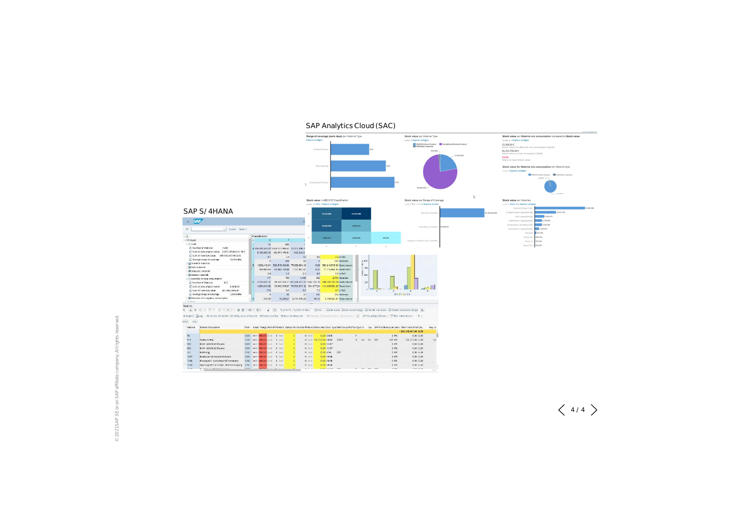

## SAP Analytics Cloud (SAC)

 $\ddot{\circ}$ 

 $\langle$  4/4  $\rangle$